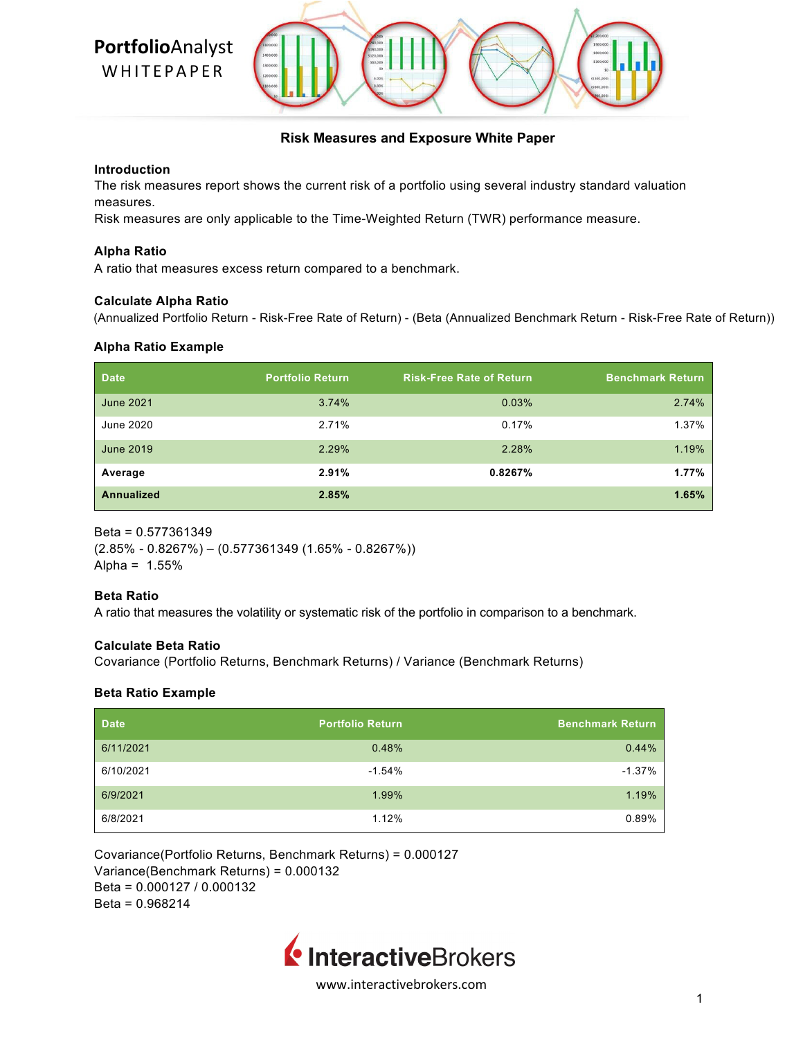

# **Risk Measures and Exposure White Paper**

### **Introduction**

The risk measures report shows the current risk of a portfolio using several industry standard valuation measures.

Risk measures are only applicable to the Time-Weighted Return (TWR) performance measure.

### **Alpha Ratio**

A ratio that measures excess return compared to a benchmark.

### **Calculate Alpha Ratio**

(Annualized Portfolio Return - Risk-Free Rate of Return) - (Beta (Annualized Benchmark Return - Risk-Free Rate of Return))

### **Alpha Ratio Example**

| <b>Date</b>       | <b>Portfolio Return</b> | <b>Risk-Free Rate of Return</b> | <b>Benchmark Return</b> |
|-------------------|-------------------------|---------------------------------|-------------------------|
| <b>June 2021</b>  | 3.74%                   | 0.03%                           | 2.74%                   |
| June 2020         | 2.71%                   | 0.17%                           | 1.37%                   |
| June 2019         | 2.29%                   | 2.28%                           | 1.19%                   |
| Average           | 2.91%                   | 0.8267%                         | $1.77\%$                |
| <b>Annualized</b> | 2.85%                   |                                 | 1.65%                   |

Beta = 0.577361349

 $(2.85\% - 0.8267\%) - (0.577361349(1.65\% - 0.8267\%))$ Alpha =  $1.55%$ 

# **Beta Ratio**

A ratio that measures the volatility or systematic risk of the portfolio in comparison to a benchmark.

### **Calculate Beta Ratio**

Covariance (Portfolio Returns, Benchmark Returns) / Variance (Benchmark Returns)

# **Beta Ratio Example**

| <b>Date</b> | <b>Portfolio Return</b> | <b>Benchmark Return</b> |
|-------------|-------------------------|-------------------------|
| 6/11/2021   | 0.48%                   | 0.44%                   |
| 6/10/2021   | $-1.54%$                | $-1.37%$                |
| 6/9/2021    | 1.99%                   | 1.19%                   |
| 6/8/2021    | 1.12%                   | 0.89%                   |

Covariance(Portfolio Returns, Benchmark Returns) = 0.000127 Variance(Benchmark Returns) = 0.000132 Beta = 0.000127 / 0.000132 Beta = 0.968214

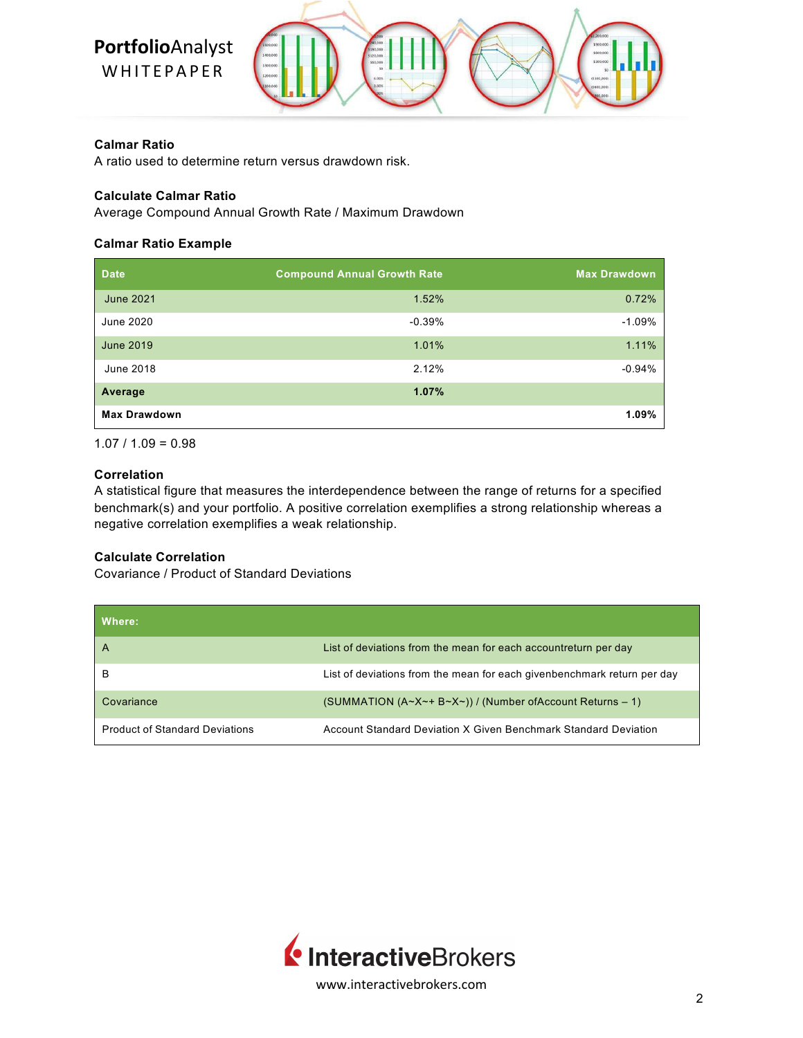# **Portfolio**Analyst

WHITEPAPER



# **Calmar Ratio**

A ratio used to determine return versus drawdown risk.

# **Calculate Calmar Ratio**

Average Compound Annual Growth Rate / Maximum Drawdown

# **Calmar Ratio Example**

| <b>Date</b>         | <b>Compound Annual Growth Rate</b> | <b>Max Drawdown</b> |
|---------------------|------------------------------------|---------------------|
| June 2021           | 1.52%                              | 0.72%               |
| June 2020           | $-0.39%$                           | $-1.09%$            |
| <b>June 2019</b>    | 1.01%                              | 1.11%               |
| June 2018           | 2.12%                              | $-0.94%$            |
| Average             | 1.07%                              |                     |
| <b>Max Drawdown</b> |                                    | $1.09\%$            |

 $1.07 / 1.09 = 0.98$ 

# **Correlation**

A statistical figure that measures the interdependence between the range of returns for a specified benchmark(s) and your portfolio. A positive correlation exemplifies a strong relationship whereas a negative correlation exemplifies a weak relationship.

# **Calculate Correlation**

Covariance / Product of Standard Deviations

| Where:                                |                                                                         |
|---------------------------------------|-------------------------------------------------------------------------|
| A                                     | List of deviations from the mean for each accountreturn per day         |
| в                                     | List of deviations from the mean for each givenbenchmark return per day |
| Covariance                            | (SUMMATION (A~X~+ B~X~)) / (Number of Account Returns - 1)              |
| <b>Product of Standard Deviations</b> | Account Standard Deviation X Given Benchmark Standard Deviation         |

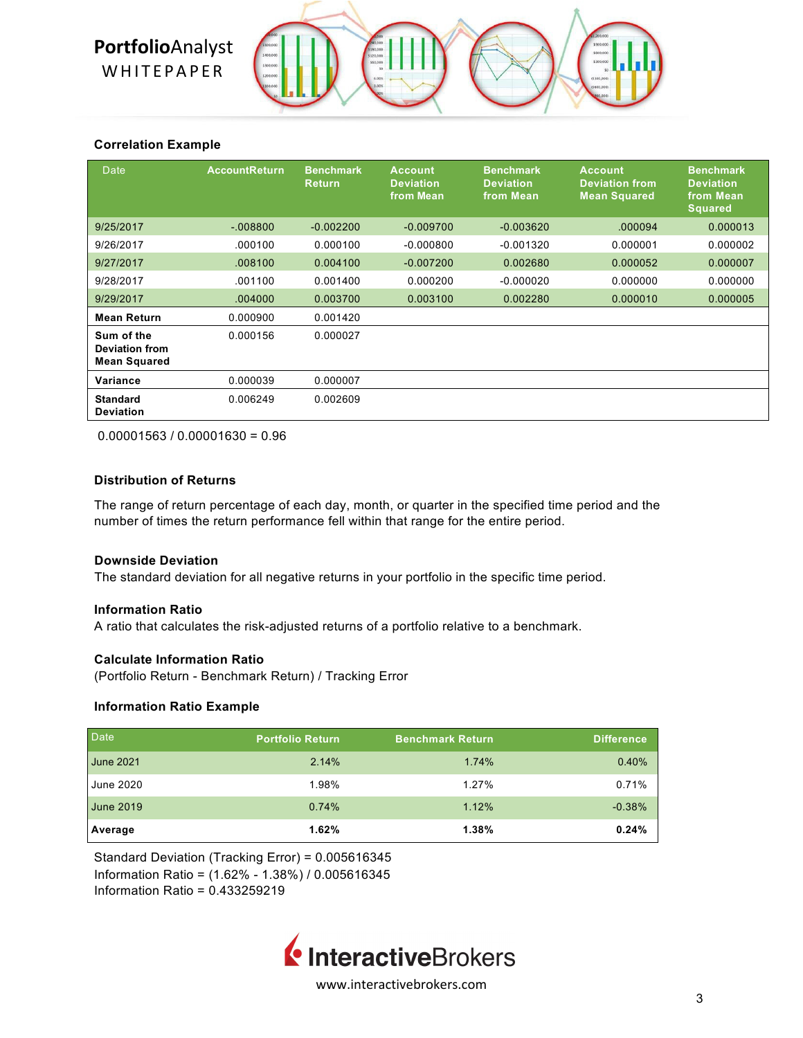# **Portfolio**Analyst

**WHITEPAPER** 



# **Correlation Example**

| <b>Date</b>                                                | <b>AccountReturn</b> | <b>Benchmark</b><br><b>Return</b> | <b>Account</b><br><b>Deviation</b><br>from Mean | <b>Benchmark</b><br><b>Deviation</b><br>from Mean | <b>Account</b><br><b>Deviation from</b><br><b>Mean Squared</b> | <b>Benchmark</b><br><b>Deviation</b><br>from Mean<br><b>Squared</b> |
|------------------------------------------------------------|----------------------|-----------------------------------|-------------------------------------------------|---------------------------------------------------|----------------------------------------------------------------|---------------------------------------------------------------------|
| 9/25/2017                                                  | $-008800$            | $-0.002200$                       | $-0.009700$                                     | $-0.003620$                                       | .000094                                                        | 0.000013                                                            |
| 9/26/2017                                                  | .000100              | 0.000100                          | $-0.000800$                                     | $-0.001320$                                       | 0.000001                                                       | 0.000002                                                            |
| 9/27/2017                                                  | .008100              | 0.004100                          | $-0.007200$                                     | 0.002680                                          | 0.000052                                                       | 0.000007                                                            |
| 9/28/2017                                                  | .001100              | 0.001400                          | 0.000200                                        | $-0.000020$                                       | 0.000000                                                       | 0.000000                                                            |
| 9/29/2017                                                  | .004000              | 0.003700                          | 0.003100                                        | 0.002280                                          | 0.000010                                                       | 0.000005                                                            |
| <b>Mean Return</b>                                         | 0.000900             | 0.001420                          |                                                 |                                                   |                                                                |                                                                     |
| Sum of the<br><b>Deviation from</b><br><b>Mean Squared</b> | 0.000156             | 0.000027                          |                                                 |                                                   |                                                                |                                                                     |
| Variance                                                   | 0.000039             | 0.000007                          |                                                 |                                                   |                                                                |                                                                     |
| <b>Standard</b><br><b>Deviation</b>                        | 0.006249             | 0.002609                          |                                                 |                                                   |                                                                |                                                                     |

 $0.00001563 / 0.00001630 = 0.96$ 

# **Distribution of Returns**

The range of return percentage of each day, month, or quarter in the specified time period and the number of times the return performance fell within that range for the entire period.

# **Downside Deviation**

The standard deviation for all negative returns in your portfolio in the specific time period.

# **Information Ratio**

A ratio that calculates the risk-adjusted returns of a portfolio relative to a benchmark.

# **Calculate Information Ratio**

(Portfolio Return - Benchmark Return) / Tracking Error

# **Information Ratio Example**

| Date             | <b>Portfolio Return</b> | <b>Benchmark Return</b> | <b>Difference</b> |
|------------------|-------------------------|-------------------------|-------------------|
| <b>June 2021</b> | 2.14%                   | 1.74%                   | 0.40%             |
| <b>June 2020</b> | 1.98%                   | 1.27%                   | 0.71%             |
| <b>June 2019</b> | 0.74%                   | 1.12%                   | $-0.38%$          |
| Average          | 1.62%                   | 1.38%                   | 0.24%             |

Standard Deviation (Tracking Error) = 0.005616345 Information Ratio = (1.62% - 1.38%) / 0.005616345 Information Ratio = 0.433259219

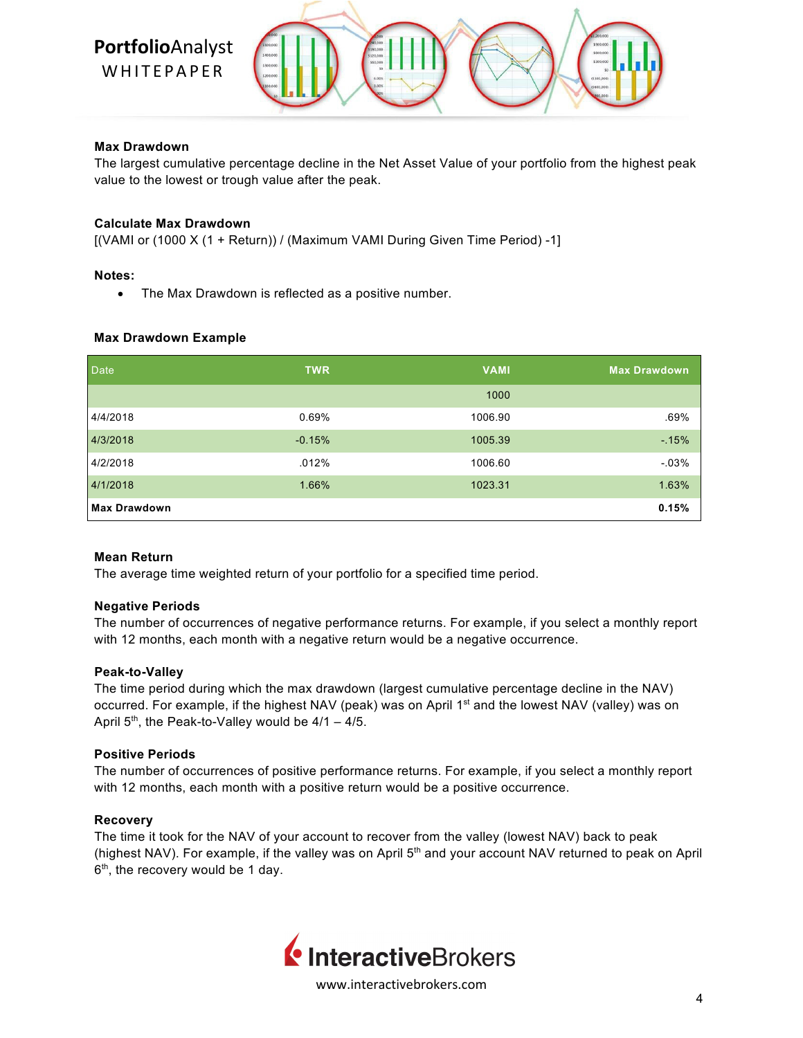

# **Max Drawdown**

The largest cumulative percentage decline in the Net Asset Value of your portfolio from the highest peak value to the lowest or trough value after the peak.

### **Calculate Max Drawdown**

[(VAMI or (1000 X (1 + Return)) / (Maximum VAMI During Given Time Period) -1]

### **Notes:**

• The Max Drawdown is reflected as a positive number.

### **Max Drawdown Example**

| Date                | <b>TWR</b> | <b>VAMI</b> | <b>Max Drawdown</b> |
|---------------------|------------|-------------|---------------------|
|                     |            | 1000        |                     |
| 4/4/2018            | 0.69%      | 1006.90     | .69%                |
| 4/3/2018            | $-0.15%$   | 1005.39     | $-15%$              |
| 4/2/2018            | .012%      | 1006.60     | $-0.03%$            |
| 4/1/2018            | 1.66%      | 1023.31     | 1.63%               |
| <b>Max Drawdown</b> |            |             | 0.15%               |

### **Mean Return**

The average time weighted return of your portfolio for a specified time period.

### **Negative Periods**

The number of occurrences of negative performance returns. For example, if you select a monthly report with 12 months, each month with a negative return would be a negative occurrence.

### **Peak-to-Valley**

The time period during which the max drawdown (largest cumulative percentage decline in the NAV) occurred. For example, if the highest NAV (peak) was on April 1<sup>st</sup> and the lowest NAV (valley) was on April  $5<sup>th</sup>$ , the Peak-to-Valley would be  $4/1 - 4/5$ .

# **Positive Periods**

The number of occurrences of positive performance returns. For example, if you select a monthly report with 12 months, each month with a positive return would be a positive occurrence.

### **Recovery**

The time it took for the NAV of your account to recover from the valley (lowest NAV) back to peak (highest NAV). For example, if the valley was on April 5<sup>th</sup> and your account NAV returned to peak on April  $6<sup>th</sup>$ , the recovery would be 1 day.

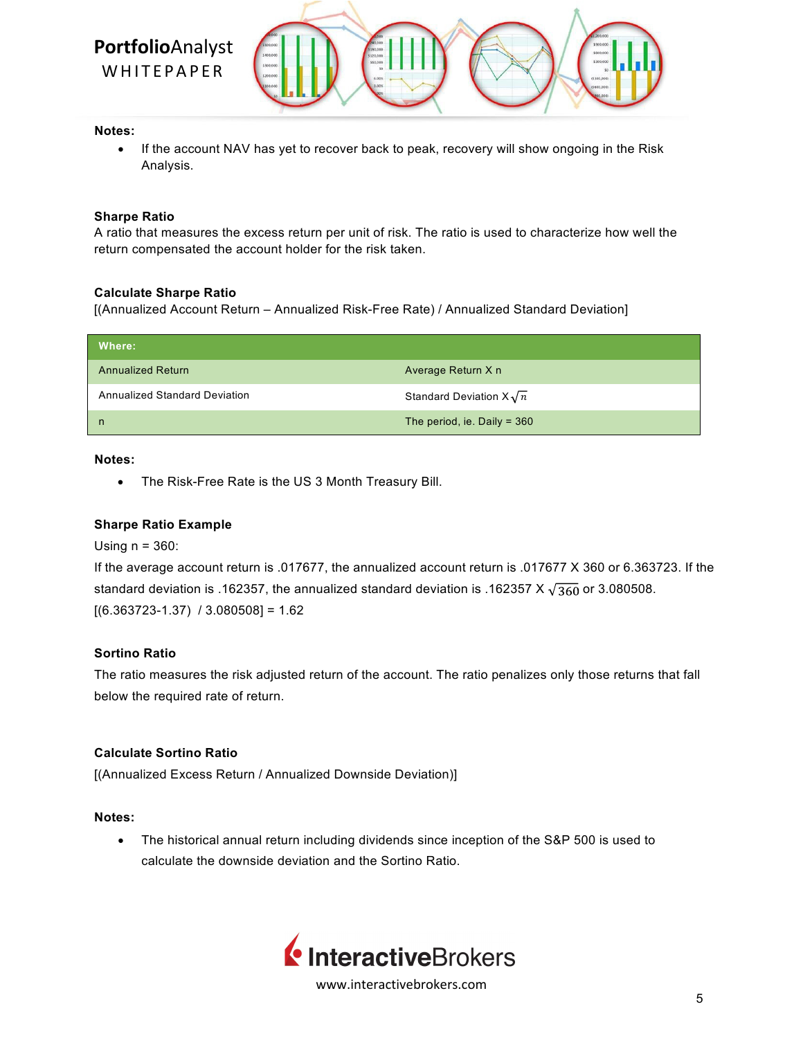

### **Notes:**

• If the account NAV has yet to recover back to peak, recovery will show ongoing in the Risk Analysis.

### **Sharpe Ratio**

A ratio that measures the excess return per unit of risk. The ratio is used to characterize how well the return compensated the account holder for the risk taken.

### **Calculate Sharpe Ratio**

[(Annualized Account Return – Annualized Risk-Free Rate) / Annualized Standard Deviation]

| Where:                        |                                |
|-------------------------------|--------------------------------|
| <b>Annualized Return</b>      | Average Return X n             |
| Annualized Standard Deviation | Standard Deviation $X\sqrt{n}$ |
| n                             | The period, ie. Daily = $360$  |

### **Notes:**

• The Risk-Free Rate is the US 3 Month Treasury Bill.

### **Sharpe Ratio Example**

Using  $n = 360$ :

```
If the average account return is .017677, the annualized account return is .017677 X 360 or 6.363723. If the 
standard deviation is .162357, the annualized standard deviation is .162357 X \sqrt{360} or 3.080508.
[(6.363723-1.37) / 3.080508] = 1.62
```
# **Sortino Ratio**

The ratio measures the risk adjusted return of the account. The ratio penalizes only those returns that fall below the required rate of return.

# **Calculate Sortino Ratio**

[(Annualized Excess Return / Annualized Downside Deviation)]

### **Notes:**

• The historical annual return including dividends since inception of the S&P 500 is used to calculate the downside deviation and the Sortino Ratio.

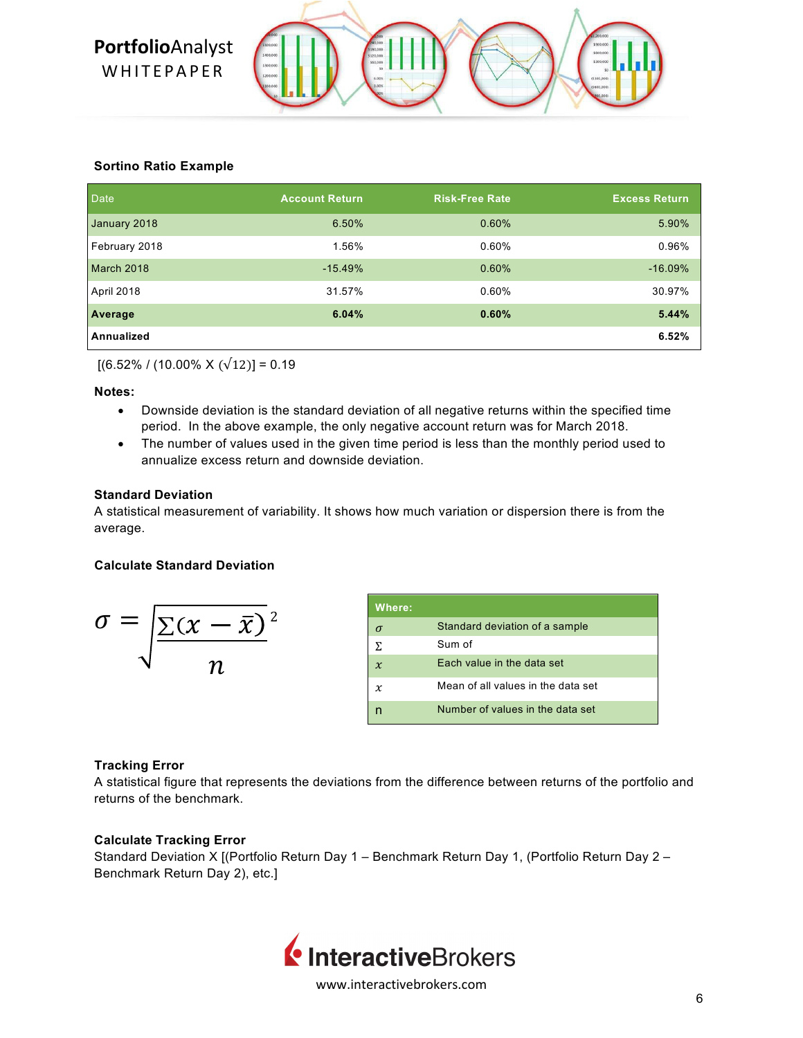

# **Sortino Ratio Example**

| <b>Date</b>   | <b>Account Return</b> | <b>Risk-Free Rate</b> | <b>Excess Return</b> |
|---------------|-----------------------|-----------------------|----------------------|
| January 2018  | 6.50%                 | 0.60%                 | 5.90%                |
| February 2018 | 1.56%                 | 0.60%                 | 0.96%                |
| March 2018    | $-15.49%$             | 0.60%                 | $-16.09%$            |
| April 2018    | 31.57%                | 0.60%                 | 30.97%               |
| Average       | 6.04%                 | 0.60%                 | 5.44%                |
| Annualized    |                       |                       | 6.52%                |

 $[(6.52\% / (10.00\% \times (\sqrt{12})] = 0.19$ 

# **Notes:**

- Downside deviation is the standard deviation of all negative returns within the specified time period. In the above example, the only negative account return was for March 2018.
- The number of values used in the given time period is less than the monthly period used to annualize excess return and downside deviation.

# **Standard Deviation**

A statistical measurement of variability. It shows how much variation or dispersion there is from the average.

# **Calculate Standard Deviation**

$$
\sigma = \sqrt{\frac{\Sigma(x - \bar{x})}{n}}^2
$$

| Where:.       |                                    |
|---------------|------------------------------------|
|               | Standard deviation of a sample     |
| $\Sigma$      | Sum of                             |
| $\mathcal{X}$ | Each value in the data set         |
| $\chi$        | Mean of all values in the data set |
|               | Number of values in the data set   |

# **Tracking Error**

A statistical figure that represents the deviations from the difference between returns of the portfolio and returns of the benchmark.

# **Calculate Tracking Error**

Standard Deviation X [(Portfolio Return Day 1 – Benchmark Return Day 1, (Portfolio Return Day 2 – Benchmark Return Day 2), etc.]

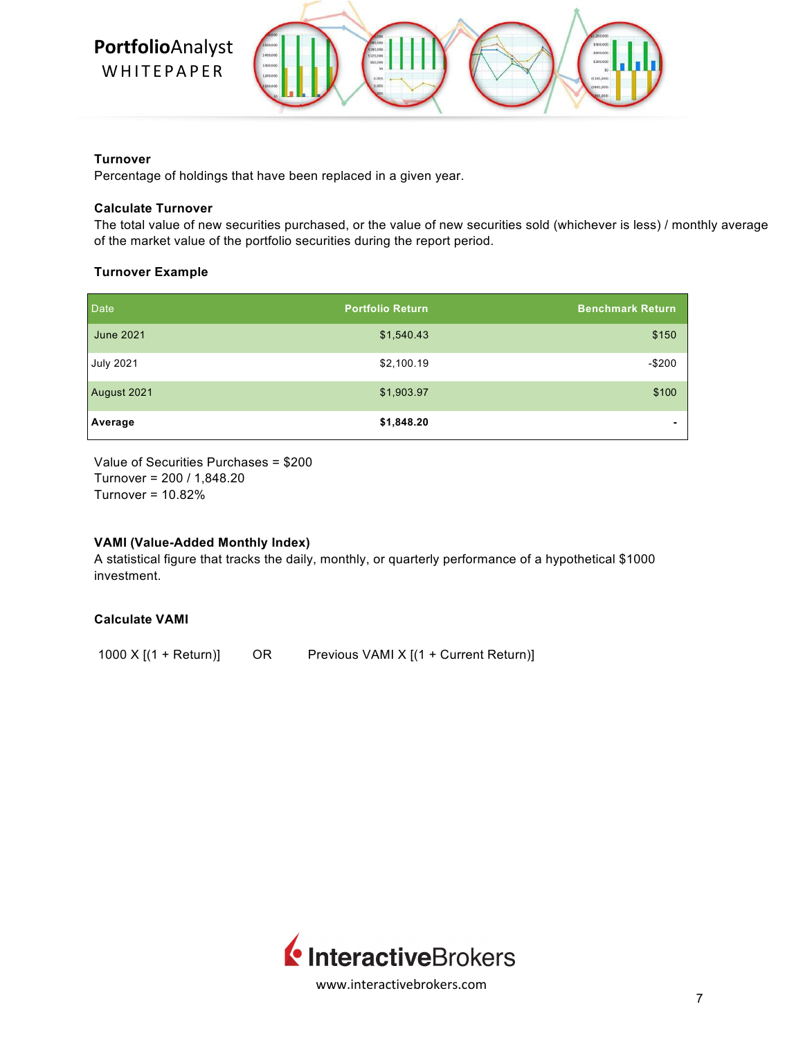

### **Turnover**

Percentage of holdings that have been replaced in a given year.

# **Calculate Turnover**

The total value of new securities purchased, or the value of new securities sold (whichever is less) / monthly average of the market value of the portfolio securities during the report period.

# **Turnover Example**

| Date             | <b>Portfolio Return</b> | <b>Benchmark Return</b> |
|------------------|-------------------------|-------------------------|
| <b>June 2021</b> | \$1,540.43              | \$150                   |
| <b>July 2021</b> | \$2,100.19              | $-$200$                 |
| August 2021      | \$1,903.97              | \$100                   |
| Average          | \$1,848.20              |                         |

Value of Securities Purchases = \$200 Turnover = 200 / 1,848.20 Turnover = 10.82%

# **VAMI (Value-Added Monthly Index)**

A statistical figure that tracks the daily, monthly, or quarterly performance of a hypothetical \$1000 investment.

# **Calculate VAMI**

1000 X [(1 + Return)] OR Previous VAMI X [(1 + Current Return)]

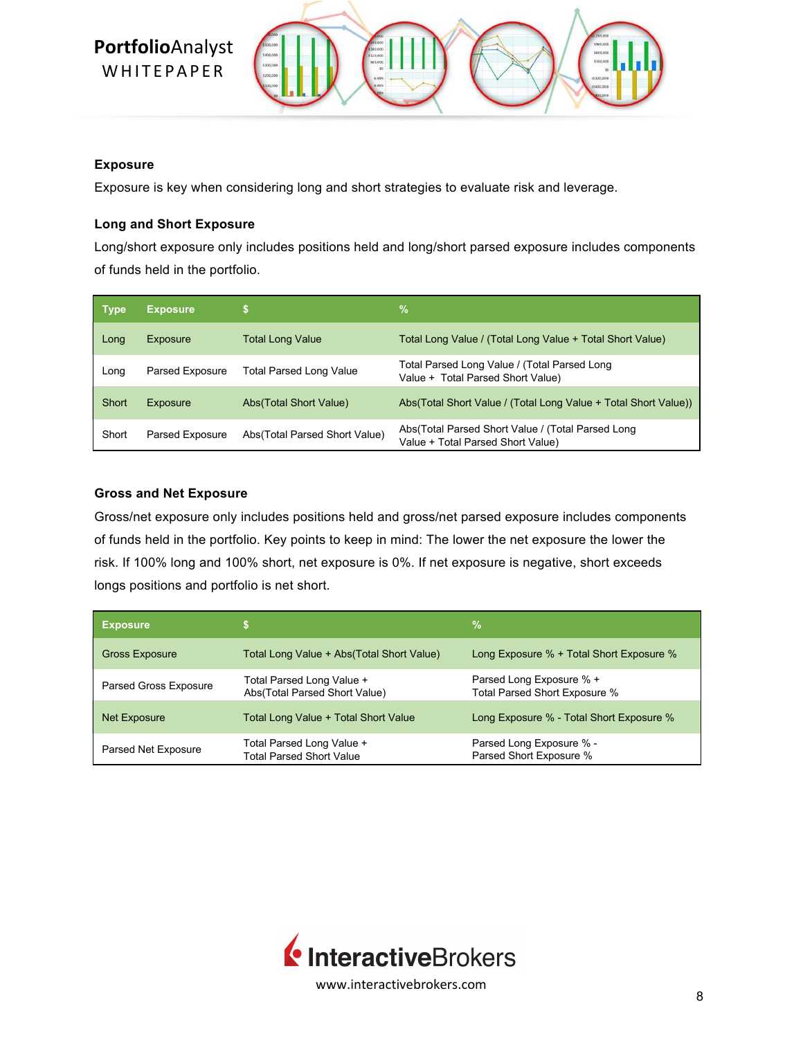

# **Exposure**

Exposure is key when considering long and short strategies to evaluate risk and leverage.

# **Long and Short Exposure**

Long/short exposure only includes positions held and long/short parsed exposure includes components of funds held in the portfolio.

| <b>Type</b> | <b>Exposure</b>        |                                | $\frac{9}{6}$                                                                          |
|-------------|------------------------|--------------------------------|----------------------------------------------------------------------------------------|
| Long        | Exposure               | <b>Total Long Value</b>        | Total Long Value / (Total Long Value + Total Short Value)                              |
| Long        | <b>Parsed Exposure</b> | <b>Total Parsed Long Value</b> | Total Parsed Long Value / (Total Parsed Long<br>Value + Total Parsed Short Value)      |
| Short       | Exposure               | Abs(Total Short Value)         | Abs(Total Short Value / (Total Long Value + Total Short Value))                        |
| Short       | <b>Parsed Exposure</b> | Abs(Total Parsed Short Value)  | Abs(Total Parsed Short Value / (Total Parsed Long<br>Value + Total Parsed Short Value) |

# **Gross and Net Exposure**

Gross/net exposure only includes positions held and gross/net parsed exposure includes components of funds held in the portfolio. Key points to keep in mind: The lower the net exposure the lower the risk. If 100% long and 100% short, net exposure is 0%. If net exposure is negative, short exceeds longs positions and portfolio is net short.

| <b>Exposure</b>              |                                                              | %                                                         |
|------------------------------|--------------------------------------------------------------|-----------------------------------------------------------|
| <b>Gross Exposure</b>        | Total Long Value + Abs(Total Short Value)                    | Long Exposure % + Total Short Exposure %                  |
| <b>Parsed Gross Exposure</b> | Total Parsed Long Value +<br>Abs(Total Parsed Short Value)   | Parsed Long Exposure % +<br>Total Parsed Short Exposure % |
| Net Exposure                 | Total Long Value + Total Short Value                         | Long Exposure % - Total Short Exposure %                  |
| Parsed Net Exposure          | Total Parsed Long Value +<br><b>Total Parsed Short Value</b> | Parsed Long Exposure % -<br>Parsed Short Exposure %       |